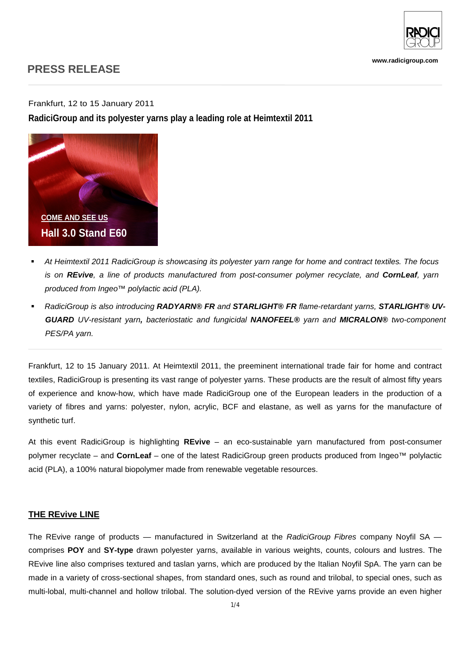

**www.radicigroup.com**

# **PRESS RELEASE**

### Frankfurt, 12 to 15 January 2011

# **RadiciGroup and its polyester yarns play a leading role at Heimtextil 2011**



- *At Heimtextil 2011 RadiciGroup is showcasing its polyester yarn range for home and contract textiles. The focus is on REvive, a line of products manufactured from post-consumer polymer recyclate, and CornLeaf, yarn produced from Ingeo™ polylactic acid (PLA).*
- *RadiciGroup is also introducing RADYARN® FR and STARLIGHT® FR flame-retardant yarns, STARLIGHT® UV-GUARD UV-resistant yarn, bacteriostatic and fungicidal NANOFEEL® yarn and MICRALON® two-component PES/PA yarn.*

Frankfurt, 12 to 15 January 2011. At Heimtextil 2011, the preeminent international trade fair for home and contract textiles, RadiciGroup is presenting its vast range of polyester yarns. These products are the result of almost fifty years of experience and know-how, which have made RadiciGroup one of the European leaders in the production of a variety of fibres and yarns: polyester, nylon, acrylic, BCF and elastane, as well as yarns for the manufacture of synthetic turf.

At this event RadiciGroup is highlighting **REvive** – an eco-sustainable yarn manufactured from post-consumer polymer recyclate – and **CornLeaf** – one of the latest RadiciGroup green products produced from Ingeo<sup>™</sup> polylactic acid (PLA), a 100% natural biopolymer made from renewable vegetable resources.

### **THE REvive LINE**

The REvive range of products — manufactured in Switzerland at the *RadiciGroup Fibres* company Noyfil SA comprises **POY** and **SY-type** drawn polyester yarns, available in various weights, counts, colours and lustres. The REvive line also comprises textured and taslan yarns, which are produced by the Italian Noyfil SpA. The yarn can be made in a variety of cross-sectional shapes, from standard ones, such as round and trilobal, to special ones, such as multi-lobal, multi-channel and hollow trilobal. The solution-dyed version of the REvive yarns provide an even higher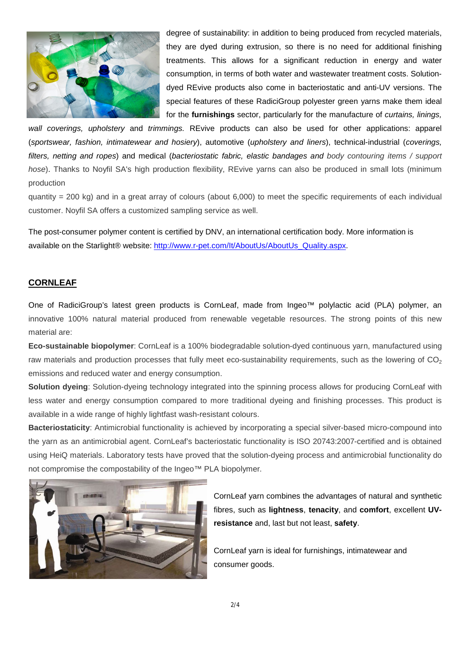

degree of sustainability: in addition to being produced from recycled materials, they are dyed during extrusion, so there is no need for additional finishing treatments. This allows for a significant reduction in energy and water consumption, in terms of both water and wastewater treatment costs. Solutiondyed REvive products also come in bacteriostatic and anti-UV versions. The special features of these RadiciGroup polyester green yarns make them ideal for the **furnishings** sector, particularly for the manufacture of *curtains, linings,* 

*wall coverings, upholstery* and *trimmings.* REvive products can also be used for other applications: apparel (*sportswear, fashion, intimatewear and hosiery*), automotive (*upholstery and liners*), technical-industrial (*coverings, filters, netting and ropes*) and medical (*bacteriostatic fabric, elastic bandages and body contouring items / support hose*). Thanks to Noyfil SA's high production flexibility, REvive yarns can also be produced in small lots (minimum production

quantity  $= 200$  kg) and in a great array of colours (about 6,000) to meet the specific requirements of each individual customer. Noyfil SA offers a customized sampling service as well.

The post-consumer polymer content is certified by DNV, an international certification body. More information is available on the Starlight® website: http://www.r-pet.com/It/AboutUs/AboutUs\_Quality.aspx.

# **CORNLEAF**

One of RadiciGroup's latest green products is CornLeaf, made from Ingeo™ polylactic acid (PLA) polymer, an innovative 100% natural material produced from renewable vegetable resources. The strong points of this new material are:

**Eco-sustainable biopolymer**: CornLeaf is a 100% biodegradable solution-dyed continuous yarn, manufactured using raw materials and production processes that fully meet eco-sustainability requirements, such as the lowering of  $CO<sub>2</sub>$ emissions and reduced water and energy consumption.

**Solution dyeing**: Solution-dyeing technology integrated into the spinning process allows for producing CornLeaf with less water and energy consumption compared to more traditional dyeing and finishing processes. This product is available in a wide range of highly lightfast wash-resistant colours.

**Bacteriostaticity**: Antimicrobial functionality is achieved by incorporating a special silver-based micro-compound into the yarn as an antimicrobial agent. CornLeaf's bacteriostatic functionality is ISO 20743:2007-certified and is obtained using HeiQ materials. Laboratory tests have proved that the solution-dyeing process and antimicrobial functionality do not compromise the compostability of the Ingeo™ PLA biopolymer.



CornLeaf yarn combines the advantages of natural and synthetic fibres, such as **lightness**, **tenacity**, and **comfort**, excellent **UVresistance** and, last but not least, **safety**.

CornLeaf yarn is ideal for furnishings, intimatewear and consumer goods.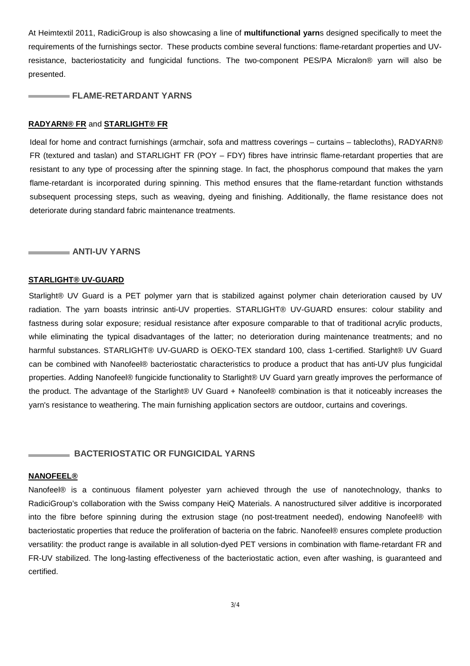At Heimtextil 2011, RadiciGroup is also showcasing a line of **multifunctional yarn**s designed specifically to meet the requirements of the furnishings sector. These products combine several functions: flame-retardant properties and UVresistance, bacteriostaticity and fungicidal functions. The two-component PES/PA Micralon® yarn will also be presented.

#### **FLAME-RETARDANT YARNS**

#### **RADYARN® FR** and **STARLIGHT® FR**

Ideal for home and contract furnishings (armchair, sofa and mattress coverings – curtains – tablecloths), RADYARN® FR (textured and taslan) and STARLIGHT FR (POY – FDY) fibres have intrinsic flame-retardant properties that are resistant to any type of processing after the spinning stage. In fact, the phosphorus compound that makes the yarn flame-retardant is incorporated during spinning. This method ensures that the flame-retardant function withstands subsequent processing steps, such as weaving, dyeing and finishing. Additionally, the flame resistance does not deteriorate during standard fabric maintenance treatments.

#### **ANTI-UV YARNS**

#### **STARLIGHT® UV-GUARD**

Starlight® UV Guard is a PET polymer yarn that is stabilized against polymer chain deterioration caused by UV radiation. The yarn boasts intrinsic anti-UV properties. STARLIGHT® UV-GUARD ensures: colour stability and fastness during solar exposure; residual resistance after exposure comparable to that of traditional acrylic products, while eliminating the typical disadvantages of the latter; no deterioration during maintenance treatments; and no harmful substances. STARLIGHT® UV-GUARD is OEKO-TEX standard 100, class 1-certified. Starlight® UV Guard can be combined with Nanofeel® bacteriostatic characteristics to produce a product that has anti-UV plus fungicidal properties. Adding Nanofeel® fungicide functionality to Starlight® UV Guard yarn greatly improves the performance of the product. The advantage of the Starlight® UV Guard + Nanofeel® combination is that it noticeably increases the yarn's resistance to weathering. The main furnishing application sectors are outdoor, curtains and coverings.

### **BACTERIOSTATIC OR FUNGICIDAL YARNS**

### **NANOFEEL®**

Nanofeel® is a continuous filament polyester yarn achieved through the use of nanotechnology, thanks to RadiciGroup's collaboration with the Swiss company HeiQ Materials. A nanostructured silver additive is incorporated into the fibre before spinning during the extrusion stage (no post-treatment needed), endowing Nanofeel® with bacteriostatic properties that reduce the proliferation of bacteria on the fabric. Nanofeel® ensures complete production versatility: the product range is available in all solution-dyed PET versions in combination with flame-retardant FR and FR-UV stabilized. The long-lasting effectiveness of the bacteriostatic action, even after washing, is guaranteed and certified.